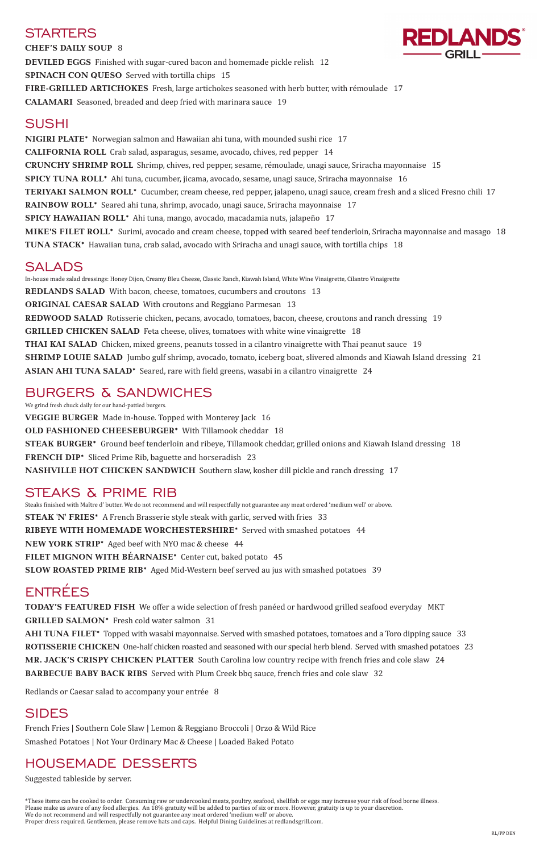**CHEF'S DAILY SOUP** 8 **DEVILED EGGS** Finished with sugar-cured bacon and homemade pickle relish 12 **SPINACH CON QUESO** Served with tortilla chips 15 **FIRE-GRILLED ARTICHOKES** Fresh, large artichokes seasoned with herb butter, with rémoulade 17 **CALAMARI** Seasoned, breaded and deep fried with marinara sauce 19

# SUSHI

**NIGIRI PLATE\*** Norwegian salmon and Hawaiian ahi tuna, with mounded sushi rice 17 **CALIFORNIA ROLL** Crab salad, asparagus, sesame, avocado, chives, red pepper 14 **CRUNCHY SHRIMP ROLL** Shrimp, chives, red pepper, sesame, rémoulade, unagi sauce, Sriracha mayonnaise 15 **SPICY TUNA ROLL\*** Ahi tuna, cucumber, jicama, avocado, sesame, unagi sauce, Sriracha mayonnaise 16 **TERIYAKI SALMON ROLL\*** Cucumber, cream cheese, red pepper, jalapeno, unagi sauce, cream fresh and a sliced Fresno chili 17 **RAINBOW ROLL\*** Seared ahi tuna, shrimp, avocado, unagi sauce, Sriracha mayonnaise 17 **SPICY HAWAIIAN ROLL\*** Ahi tuna, mango, avocado, macadamia nuts, jalapeño 17 **MIKE'S FILET ROLL\*** Surimi, avocado and cream cheese, topped with seared beef tenderloin, Sriracha mayonnaise and masago 18 **TUNA STACK\*** Hawaiian tuna, crab salad, avocado with Sriracha and unagi sauce, with tortilla chips 18

We grind fresh chuck daily for our hand-pattied burgers. **VEGGIE BURGER** Made in-house. Topped with Monterey Jack 16 **OLD FASHIONED CHEESEBURGER\*** With Tillamook cheddar 18 **STEAK BURGER\*** Ground beef tenderloin and ribeye, Tillamook cheddar, grilled onions and Kiawah Island dressing 18 **FRENCH DIP\*** Sliced Prime Rib, baguette and horseradish 23 **NASHVILLE HOT CHICKEN SANDWICH** Southern slaw, kosher dill pickle and ranch dressing 17

# SALADS

In-house made salad dressings: Honey Dijon, Creamy Bleu Cheese, Classic Ranch, Kiawah Island, White Wine Vinaigrette, Cilantro Vinaigrette **REDLANDS SALAD** With bacon, cheese, tomatoes, cucumbers and croutons 13 **ORIGINAL CAESAR SALAD** With croutons and Reggiano Parmesan 13 **REDWOOD SALAD** Rotisserie chicken, pecans, avocado, tomatoes, bacon, cheese, croutons and ranch dressing 19 **GRILLED CHICKEN SALAD** Feta cheese, olives, tomatoes with white wine vinaigrette 18 **THAI KAI SALAD** Chicken, mixed greens, peanuts tossed in a cilantro vinaigrette with Thai peanut sauce 19 **SHRIMP LOUIE SALAD** Jumbo gulf shrimp, avocado, tomato, iceberg boat, slivered almonds and Kiawah Island dressing 21 **ASIAN AHI TUNA SALAD\*** Seared, rare with field greens, wasabi in a cilantro vinaigrette 24

# BURGERS & SANDWICHES

# STEAKS & PRIME RIB

Steaks finished with Maître d' butter. We do not recommend and will respectfully not guarantee any meat ordered 'medium well' or above. **STEAK 'N' FRIES\*** A French Brasserie style steak with garlic, served with fries 33 **RIBEYE WITH HOMEMADE WORCHESTERSHIRE\*** Served with smashed potatoes 44 **NEW YORK STRIP\*** Aged beef with NYO mac & cheese 44 **FILET MIGNON WITH BÉARNAISE\*** Center cut, baked potato 45 **SLOW ROASTED PRIME RIB\*** Aged Mid-Western beef served au jus with smashed potatoes 39

# ENTRÉES

**TODAY'S FEATURED FISH** We offer a wide selection of fresh panéed or hardwood grilled seafood everyday MKT **GRILLED SALMON\*** Fresh cold water salmon 31

**AHI TUNA FILET\*** Topped with wasabi mayonnaise. Served with smashed potatoes, tomatoes and a Toro dipping sauce 33 **ROTISSERIE CHICKEN** One-half chicken roasted and seasoned with our special herb blend. Served with smashed potatoes 23 **MR. JACK'S CRISPY CHICKEN PLATTER** South Carolina low country recipe with french fries and cole slaw 24 **BARBECUE BABY BACK RIBS** Served with Plum Creek bbq sauce, french fries and cole slaw 32

Redlands or Caesar salad to accompany your entrée 8

# SIDES

French Fries | Southern Cole Slaw | Lemon & Reggiano Broccoli | Orzo & Wild Rice Smashed Potatoes | Not Your Ordinary Mac & Cheese | Loaded Baked Potato

# HOUSEMADE DESSERTS

Suggested tableside by server.

\*These items can be cooked to order. Consuming raw or undercooked meats, poultry, seafood, shellfish or eggs may increase your risk of food borne illness. Please make us aware of any food allergies. An 18% gratuity will be added to parties of six or more. However, gratuity is up to your discretion. We do not recommend and will respectfully not guarantee any meat ordered 'medium well' or above. Proper dress required. Gentlemen, please remove hats and caps. Helpful Dining Guidelines at redlandsgrill.com.

# **STARTERS**